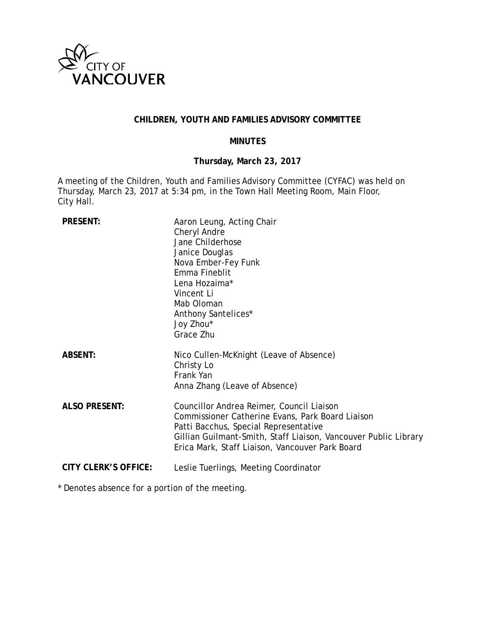

# **CHILDREN, YOUTH AND FAMILIES ADVISORY COMMITTEE**

### **MINUTES**

# **Thursday, March 23, 2017**

A meeting of the Children, Youth and Families Advisory Committee (CYFAC) was held on Thursday, March 23, 2017 at 5:34 pm, in the Town Hall Meeting Room, Main Floor, City Hall.

| <b>PRESENT:</b>             | Aaron Leung, Acting Chair<br>Cheryl Andre<br>Jane Childerhose<br>Janice Douglas<br>Nova Ember-Fey Funk<br>Emma Fineblit<br>Lena Hozaima*<br>Vincent Li<br>Mab Oloman<br>Anthony Santelices*<br>Joy Zhou*<br>Grace Zhu                                        |
|-----------------------------|--------------------------------------------------------------------------------------------------------------------------------------------------------------------------------------------------------------------------------------------------------------|
| <b>ABSENT:</b>              | Nico Cullen-McKnight (Leave of Absence)<br>Christy Lo<br>Frank Yan<br>Anna Zhang (Leave of Absence)                                                                                                                                                          |
| <b>ALSO PRESENT:</b>        | Councillor Andrea Reimer, Council Liaison<br>Commissioner Catherine Evans, Park Board Liaison<br>Patti Bacchus, Special Representative<br>Gillian Guilmant-Smith, Staff Liaison, Vancouver Public Library<br>Erica Mark, Staff Liaison, Vancouver Park Board |
| <b>CITY CLERK'S OFFICE:</b> | Leslie Tuerlings, Meeting Coordinator                                                                                                                                                                                                                        |

\* Denotes absence for a portion of the meeting.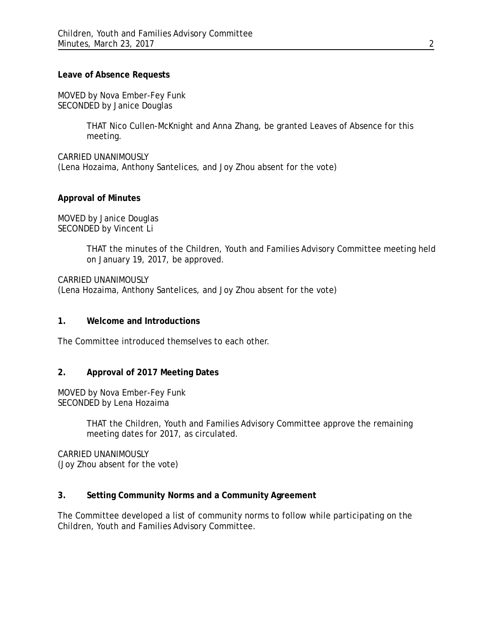### **Leave of Absence Requests**

MOVED by Nova Ember-Fey Funk SECONDED by Janice Douglas

> THAT Nico Cullen-McKnight and Anna Zhang, be granted Leaves of Absence for this meeting.

CARRIED UNANIMOUSLY (Lena Hozaima, Anthony Santelices, and Joy Zhou absent for the vote)

# **Approval of Minutes**

MOVED by Janice Douglas SECONDED by Vincent Li

> THAT the minutes of the Children, Youth and Families Advisory Committee meeting held on January 19, 2017, be approved.

CARRIED UNANIMOUSLY (Lena Hozaima, Anthony Santelices, and Joy Zhou absent for the vote)

#### **1. Welcome and Introductions**

The Committee introduced themselves to each other.

## **2. Approval of 2017 Meeting Dates**

MOVED by Nova Ember-Fey Funk SECONDED by Lena Hozaima

> THAT the Children, Youth and Families Advisory Committee approve the remaining meeting dates for 2017, as circulated.

CARRIED UNANIMOUSLY (Joy Zhou absent for the vote)

# **3. Setting Community Norms and a Community Agreement**

The Committee developed a list of community norms to follow while participating on the Children, Youth and Families Advisory Committee.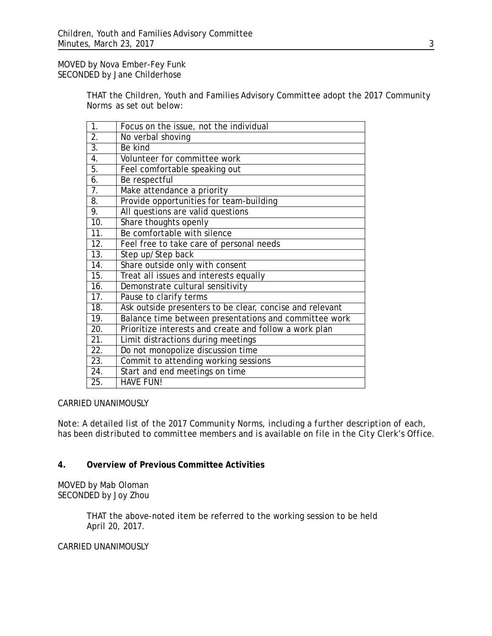MOVED by Nova Ember-Fey Funk SECONDED by Jane Childerhose

> THAT the Children, Youth and Families Advisory Committee adopt the 2017 Community Norms as set out below:

| $\overline{1}$ .  | Focus on the issue, not the individual                   |
|-------------------|----------------------------------------------------------|
| $\overline{2}$ .  | No verbal shoving                                        |
| $\overline{3}$ .  | Be kind                                                  |
| $\overline{4}$ .  | Volunteer for committee work                             |
| 5.                | Feel comfortable speaking out                            |
| 6.                | Be respectful                                            |
| 7.                | Make attendance a priority                               |
| 8.                | Provide opportunities for team-building                  |
| 9.                | All questions are valid questions                        |
| 10.               | Share thoughts openly                                    |
| $\overline{11}$ . | Be comfortable with silence                              |
| $\overline{12}$ . | Feel free to take care of personal needs                 |
| 13.               | Step up/Step back                                        |
| $\overline{14}$ . | Share outside only with consent                          |
| 15.               | Treat all issues and interests equally                   |
| $\overline{16}$ . | Demonstrate cultural sensitivity                         |
| 17.               | Pause to clarify terms                                   |
| 18.               | Ask outside presenters to be clear, concise and relevant |
| 19.               | Balance time between presentations and committee work    |
| 20.               | Prioritize interests and create and follow a work plan   |
| 21.               | Limit distractions during meetings                       |
| 22.               | Do not monopolize discussion time                        |
| 23.               | Commit to attending working sessions                     |
| $\overline{24}$ . | Start and end meetings on time                           |
| 25.               | <b>HAVE FUN!</b>                                         |

#### CARRIED UNANIMOUSLY

*Note: A detailed list of the 2017 Community Norms, including a further description of each, has been distributed to committee members and is available on file in the City Clerk's Office.*

# **4. Overview of Previous Committee Activities**

MOVED by Mab Oloman SECONDED by Joy Zhou

> THAT the above-noted item be referred to the working session to be held April 20, 2017.

### CARRIED UNANIMOUSLY